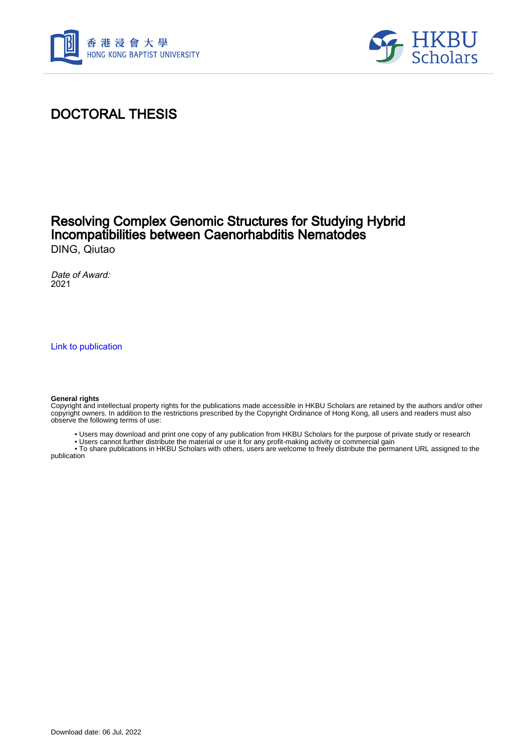



### DOCTORAL THESIS

#### Resolving Complex Genomic Structures for Studying Hybrid Incompatibilities between Caenorhabditis Nematodes DING, Qiutao

Date of Award: 2021

[Link to publication](https://scholars.hkbu.edu.hk/en/studentTheses/f25ec5f3-1006-4365-81e3-2aa54bf8cc53)

#### **General rights**

Copyright and intellectual property rights for the publications made accessible in HKBU Scholars are retained by the authors and/or other copyright owners. In addition to the restrictions prescribed by the Copyright Ordinance of Hong Kong, all users and readers must also observe the following terms of use:

- Users may download and print one copy of any publication from HKBU Scholars for the purpose of private study or research
- Users cannot further distribute the material or use it for any profit-making activity or commercial gain

 • To share publications in HKBU Scholars with others, users are welcome to freely distribute the permanent URL assigned to the publication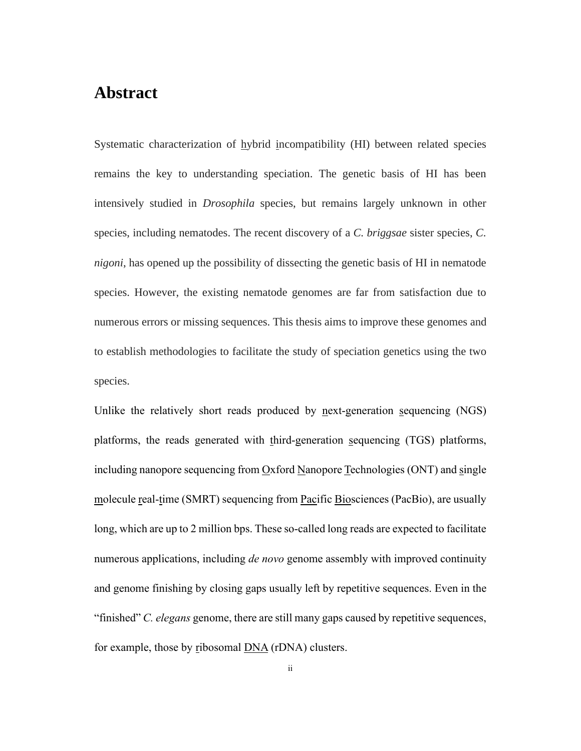#### <span id="page-1-0"></span>**Abstract**

Systematic characterization of hybrid incompatibility (HI) between related species remains the key to understanding speciation. The genetic basis of HI has been intensively studied in *Drosophila* species, but remains largely unknown in other species, including nematodes. The recent discovery of a *C. briggsae* sister species, *C. nigoni*, has opened up the possibility of dissecting the genetic basis of HI in nematode species. However, the existing nematode genomes are far from satisfaction due to numerous errors or missing sequences. This thesis aims to improve these genomes and to establish methodologies to facilitate the study of speciation genetics using the two species.

Unlike the relatively short reads produced by next-generation sequencing (NGS) platforms, the reads generated with third-generation sequencing (TGS) platforms, including nanopore sequencing from Oxford Nanopore Technologies (ONT) and single molecule real-time (SMRT) sequencing from Pacific Biosciences (PacBio), are usually long, which are up to 2 million bps. These so-called long reads are expected to facilitate numerous applications, including *de novo* genome assembly with improved continuity and genome finishing by closing gaps usually left by repetitive sequences. Even in the "finished" *C. elegans* genome, there are still many gaps caused by repetitive sequences, for example, those by ribosomal DNA (rDNA) clusters.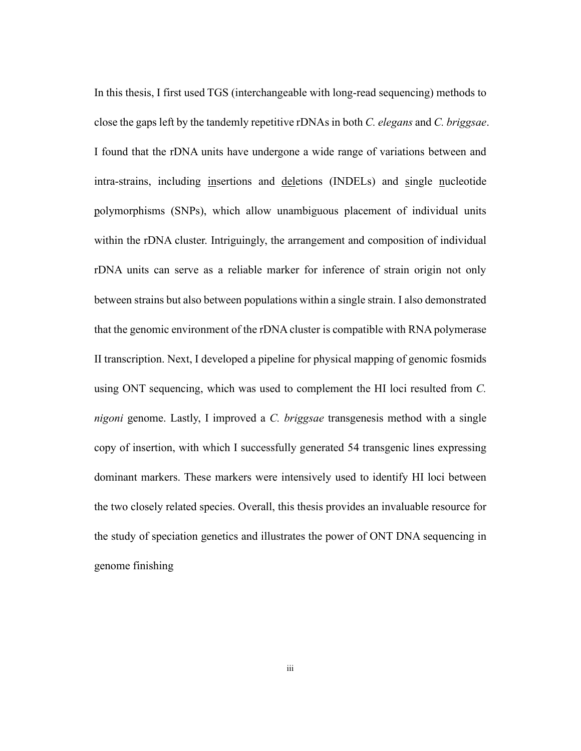In this thesis, I first used TGS (interchangeable with long-read sequencing) methods to close the gaps left by the tandemly repetitive rDNAs in both *C. elegans* and *C. briggsae*. I found that the rDNA units have undergone a wide range of variations between and intra-strains, including insertions and deletions (INDELs) and single nucleotide polymorphisms (SNPs), which allow unambiguous placement of individual units within the rDNA cluster. Intriguingly, the arrangement and composition of individual rDNA units can serve as a reliable marker for inference of strain origin not only between strains but also between populations within a single strain. I also demonstrated that the genomic environment of the rDNA cluster is compatible with RNA polymerase II transcription. Next, I developed a pipeline for physical mapping of genomic fosmids using ONT sequencing, which was used to complement the HI loci resulted from *C. nigoni* genome. Lastly, I improved a *C. briggsae* transgenesis method with a single copy of insertion, with which I successfully generated 54 transgenic lines expressing dominant markers. These markers were intensively used to identify HI loci between the two closely related species. Overall, this thesis provides an invaluable resource for the study of speciation genetics and illustrates the power of ONT DNA sequencing in genome finishing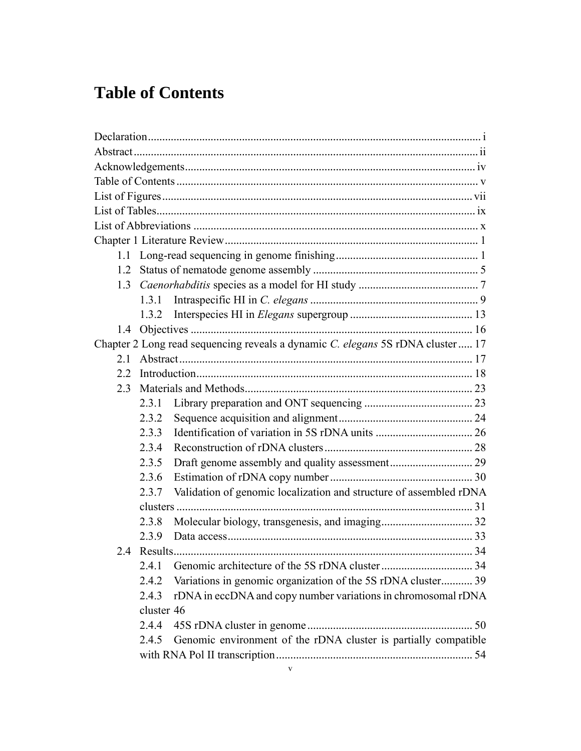## <span id="page-3-0"></span>**Table of Contents**

| $1.2^{\circ}$ |            |                                                                                |  |
|---------------|------------|--------------------------------------------------------------------------------|--|
| 1.3           |            |                                                                                |  |
|               |            |                                                                                |  |
|               | 1.3.2      |                                                                                |  |
| 1.4           |            |                                                                                |  |
|               |            | Chapter 2 Long read sequencing reveals a dynamic C. elegans 5S rDNA cluster 17 |  |
| 2.1           |            |                                                                                |  |
| 2.2           |            |                                                                                |  |
| 2.3           |            |                                                                                |  |
|               | 2.3.1      |                                                                                |  |
|               | 2.3.2      |                                                                                |  |
|               | 2.3.3      |                                                                                |  |
|               | 2.3.4      |                                                                                |  |
|               | 2.3.5      |                                                                                |  |
|               | 2.3.6      |                                                                                |  |
|               | 2.3.7      | Validation of genomic localization and structure of assembled rDNA             |  |
|               |            |                                                                                |  |
|               | 2.3.8      |                                                                                |  |
|               | 2.3.9      |                                                                                |  |
|               |            |                                                                                |  |
|               | 2.4.1      |                                                                                |  |
|               | 2.4.2      | Variations in genomic organization of the 5S rDNA cluster 39                   |  |
|               | 2.4.3      | rDNA in eccDNA and copy number variations in chromosomal rDNA                  |  |
|               | cluster 46 |                                                                                |  |
|               | 2.4.4      |                                                                                |  |
|               | 2.4.5      | Genomic environment of the rDNA cluster is partially compatible                |  |
|               |            |                                                                                |  |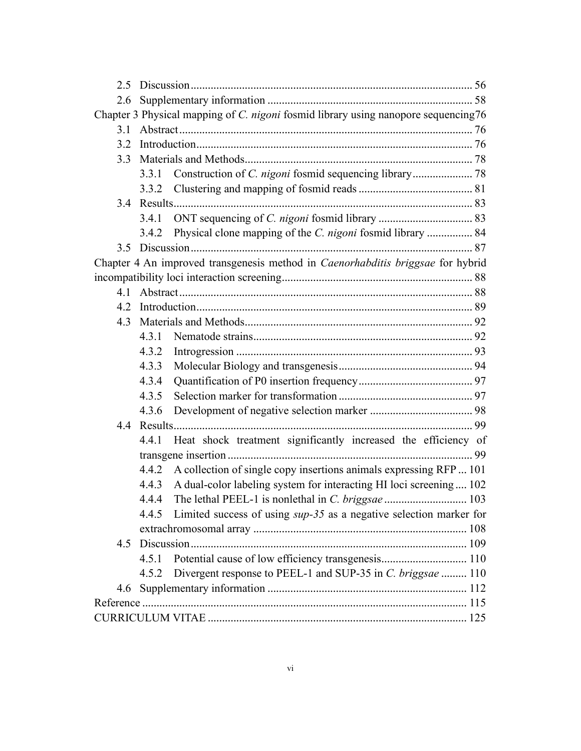| 2.6                                                                                |       |                                                                                 |  |  |  |
|------------------------------------------------------------------------------------|-------|---------------------------------------------------------------------------------|--|--|--|
| Chapter 3 Physical mapping of C. nigoni fosmid library using nanopore sequencing76 |       |                                                                                 |  |  |  |
| 3.1                                                                                |       |                                                                                 |  |  |  |
| 3.2                                                                                |       |                                                                                 |  |  |  |
|                                                                                    |       |                                                                                 |  |  |  |
|                                                                                    |       |                                                                                 |  |  |  |
|                                                                                    |       |                                                                                 |  |  |  |
|                                                                                    |       |                                                                                 |  |  |  |
|                                                                                    | 3.4.1 |                                                                                 |  |  |  |
|                                                                                    | 3.4.2 | Physical clone mapping of the <i>C. nigoni</i> fosmid library  84               |  |  |  |
|                                                                                    |       |                                                                                 |  |  |  |
|                                                                                    |       | Chapter 4 An improved transgenesis method in Caenorhabditis briggsae for hybrid |  |  |  |
|                                                                                    |       |                                                                                 |  |  |  |
| 4.1                                                                                |       |                                                                                 |  |  |  |
| 4.2                                                                                |       |                                                                                 |  |  |  |
| 4.3                                                                                |       |                                                                                 |  |  |  |
|                                                                                    | 4.3.1 |                                                                                 |  |  |  |
|                                                                                    | 4.3.2 |                                                                                 |  |  |  |
|                                                                                    | 4.3.3 |                                                                                 |  |  |  |
|                                                                                    | 4.3.4 |                                                                                 |  |  |  |
|                                                                                    | 4.3.5 |                                                                                 |  |  |  |
|                                                                                    | 4.3.6 |                                                                                 |  |  |  |
|                                                                                    |       |                                                                                 |  |  |  |
|                                                                                    | 4.4.1 | Heat shock treatment significantly increased the efficiency of                  |  |  |  |
|                                                                                    |       |                                                                                 |  |  |  |
|                                                                                    | 4.4.2 | A collection of single copy insertions animals expressing RFP  101              |  |  |  |
|                                                                                    | 4.4.3 | A dual-color labeling system for interacting HI loci screening 102              |  |  |  |
|                                                                                    | 4.4.4 |                                                                                 |  |  |  |
|                                                                                    |       | 4.4.5 Limited success of using <i>sup-35</i> as a negative selection marker for |  |  |  |
|                                                                                    |       |                                                                                 |  |  |  |
|                                                                                    |       |                                                                                 |  |  |  |
|                                                                                    |       |                                                                                 |  |  |  |
|                                                                                    | 4.5.2 | Divergent response to PEEL-1 and SUP-35 in C. briggsae  110                     |  |  |  |
|                                                                                    |       |                                                                                 |  |  |  |
|                                                                                    |       |                                                                                 |  |  |  |
|                                                                                    |       |                                                                                 |  |  |  |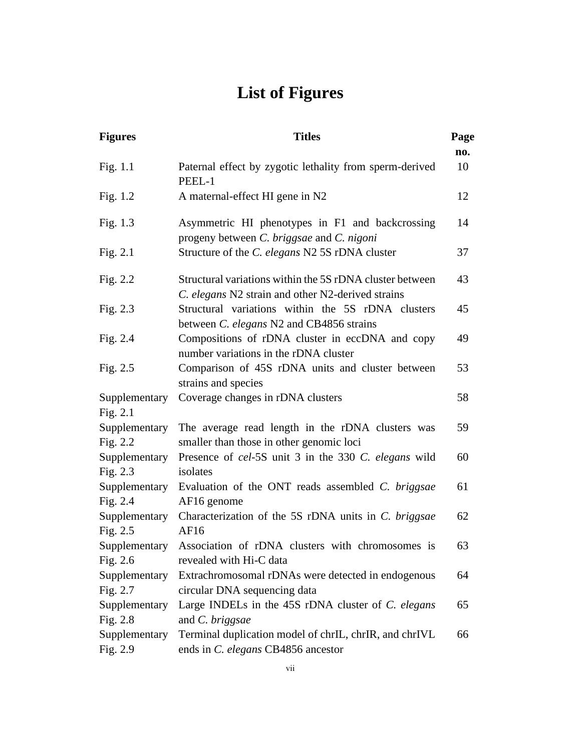# **List of Figures**

<span id="page-5-0"></span>

| <b>Figures</b>            | <b>Titles</b>                                                                                                 | Page |
|---------------------------|---------------------------------------------------------------------------------------------------------------|------|
|                           |                                                                                                               | no.  |
| Fig. 1.1                  | Paternal effect by zygotic lethality from sperm-derived<br>PEEL-1                                             | 10   |
| Fig. $1.2$                | A maternal-effect HI gene in N2                                                                               | 12   |
| Fig. 1.3                  | Asymmetric HI phenotypes in F1 and backcrossing<br>progeny between C. briggsae and C. nigoni                  | 14   |
| Fig. $2.1$                | Structure of the C. elegans N2 5S rDNA cluster                                                                | 37   |
| Fig. 2.2                  | Structural variations within the 5S rDNA cluster between<br>C. elegans N2 strain and other N2-derived strains | 43   |
| Fig. $2.3$                | Structural variations within the 5S rDNA clusters<br>between C. elegans N2 and CB4856 strains                 | 45   |
| Fig. 2.4                  | Compositions of rDNA cluster in eccDNA and copy<br>number variations in the rDNA cluster                      | 49   |
| Fig. $2.5$                | Comparison of 45S rDNA units and cluster between<br>strains and species                                       | 53   |
| Supplementary<br>Fig. 2.1 | Coverage changes in rDNA clusters                                                                             | 58   |
| Supplementary<br>Fig. 2.2 | The average read length in the rDNA clusters was<br>smaller than those in other genomic loci                  | 59   |
| Supplementary<br>Fig. 2.3 | Presence of cel-5S unit 3 in the 330 C. elegans wild<br>isolates                                              | 60   |
| Supplementary<br>Fig. 2.4 | Evaluation of the ONT reads assembled C. briggsae<br>AF16 genome                                              | 61   |
| Supplementary<br>Fig. 2.5 | Characterization of the 5S rDNA units in C. briggsae<br>AF16                                                  | 62   |
| Supplementary<br>Fig. 2.6 | Association of rDNA clusters with chromosomes is<br>revealed with Hi-C data                                   | 63   |
| Supplementary<br>Fig. 2.7 | Extrachromosomal rDNAs were detected in endogenous<br>circular DNA sequencing data                            | 64   |
| Supplementary<br>Fig. 2.8 | Large INDELs in the 45S rDNA cluster of C. elegans<br>and C. briggsae                                         | 65   |
| Supplementary<br>Fig. 2.9 | Terminal duplication model of chrIL, chrIR, and chrIVL<br>ends in C. elegans CB4856 ancestor                  | 66   |
|                           |                                                                                                               |      |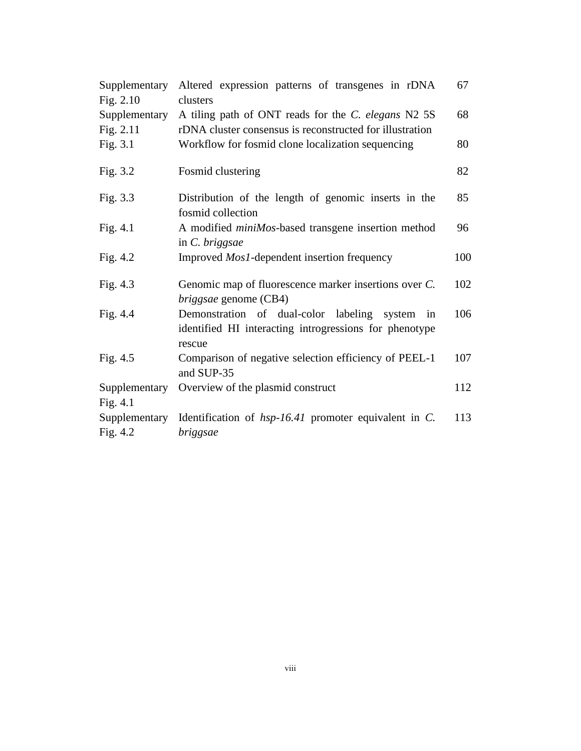| Supplementary<br>Fig. $2.10$ | Altered expression patterns of transgenes in rDNA<br>clusters                                                         | 67  |
|------------------------------|-----------------------------------------------------------------------------------------------------------------------|-----|
| Supplementary                | A tiling path of ONT reads for the C. elegans N2 5S                                                                   | 68  |
| Fig. 2.11                    | rDNA cluster consensus is reconstructed for illustration                                                              |     |
| Fig. 3.1                     | Workflow for fosmid clone localization sequencing                                                                     | 80  |
| Fig. 3.2                     | Fosmid clustering                                                                                                     | 82  |
| Fig. 3.3                     | Distribution of the length of genomic inserts in the<br>fosmid collection                                             | 85  |
| Fig. 4.1                     | A modified <i>miniMos</i> -based transgene insertion method<br>in C. briggsae                                         | 96  |
| Fig. $4.2$                   | Improved <i>Mos1</i> -dependent insertion frequency                                                                   | 100 |
| Fig. $4.3$                   | Genomic map of fluorescence marker insertions over C.<br><i>briggsae</i> genome (CB4)                                 | 102 |
| Fig. 4.4                     | Demonstration of dual-color labeling<br>system in<br>identified HI interacting introgressions for phenotype<br>rescue | 106 |
| Fig. 4.5                     | Comparison of negative selection efficiency of PEEL-1<br>and SUP-35                                                   | 107 |
| Supplementary<br>Fig. $4.1$  | Overview of the plasmid construct                                                                                     | 112 |
| Supplementary                | Identification of $hsp-16.41$ promoter equivalent in C.                                                               | 113 |
|                              |                                                                                                                       |     |
| Fig. 4.2                     | briggsae                                                                                                              |     |